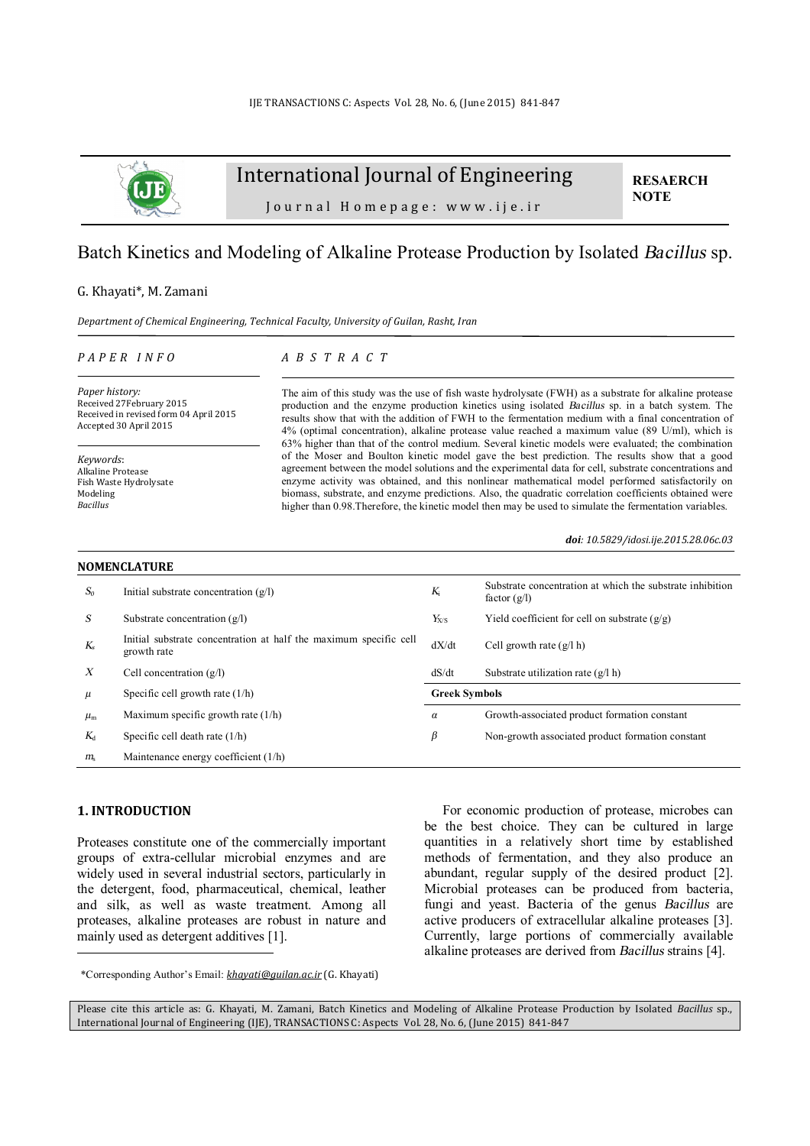

# International Journal of Engineering

**RESAERCH NOTE**

Journal Homepage: www.ije.ir

# Batch Kinetics and Modeling of Alkaline Protease Production by Isolated *Bacillus* sp.

#### G. Khayati\*, M. Zamani

*Department of Chemical Engineering, Technical Faculty, University of Guilan, Rasht, Iran* 

#### *P A P E R I N F O*

### *A B S T R A C T*

*Paper history:*  Received 27February 2015 Received in revised form 04 April 2015 Accepted 30 April 2015

*Keywords*: Alkaline Protease Fish Waste Hydrolysate Modeling *Bacillus*

The aim of this study was the use of fish waste hydrolysate (FWH) as a substrate for alkaline protease production and the enzyme production kinetics using isolated *Bacillus* sp. in a batch system. The results show that with the addition of FWH to the fermentation medium with a final concentration of 4% (optimal concentration), alkaline protease value reached a maximum value (89 U/ml), which is 63% higher than that of the control medium. Several kinetic models were evaluated; the combination of the Moser and Boulton kinetic model gave the best prediction. The results show that a good agreement between the model solutions and the experimental data for cell, substrate concentrations and enzyme activity was obtained, and this nonlinear mathematical model performed satisfactorily on biomass, substrate, and enzyme predictions. Also, the quadratic correlation coefficients obtained were higher than 0.98. Therefore, the kinetic model then may be used to simulate the fermentation variables.

*doi: 10.5829/idosi.ije.2015.28.06c.03*

| <b>NOMENCLATURE</b> |                                                                                  |                      |                                                                             |  |  |
|---------------------|----------------------------------------------------------------------------------|----------------------|-----------------------------------------------------------------------------|--|--|
| $S_0$               | Initial substrate concentration $(q/l)$                                          | $K_i$                | Substrate concentration at which the substrate inhibition<br>factor $(g/l)$ |  |  |
| S                   | Substrate concentration $(g/l)$                                                  | $Y_{X/S}$            | Yield coefficient for cell on substrate $(g/g)$                             |  |  |
| $K_{s}$             | Initial substrate concentration at half the maximum specific cell<br>growth rate | dX/dt                | Cell growth rate $(g/l h)$                                                  |  |  |
| $\boldsymbol{X}$    | Cell concentration $(g/l)$                                                       | dS/dt                | Substrate utilization rate $(g/l h)$                                        |  |  |
| $\mu$               | Specific cell growth rate $(1/h)$                                                | <b>Greek Symbols</b> |                                                                             |  |  |
| $\mu_{\rm m}$       | Maximum specific growth rate $(1/h)$                                             | $\alpha$             | Growth-associated product formation constant                                |  |  |
| $K_{d}$             | Specific cell death rate $(1/h)$                                                 | β                    | Non-growth associated product formation constant                            |  |  |
| $m_{\rm s}$         | Maintenance energy coefficient (1/h)                                             |                      |                                                                             |  |  |

## **1. INTRODUCTION<sup>1</sup>**

l

Proteases constitute one of the commercially important groups of extra-cellular microbial enzymes and are widely used in several industrial sectors, particularly in the detergent, food, pharmaceutical, chemical, leather and silk, as well as waste treatment. Among all proteases, alkaline proteases are robust in nature and mainly used as detergent additives [1].

For economic production of protease, microbes can be the best choice. They can be cultured in large quantities in a relatively short time by established methods of fermentation, and they also produce an abundant, regular supply of the desired product [2]. Microbial proteases can be produced from bacteria, fungi and yeast. Bacteria of the genus *Bacillus* are active producers of extracellular alkaline proteases [3]. Currently, large portions of commercially available alkaline proteases are derived from *Bacillus* strains [4].

<sup>1</sup> \*Corresponding Author's Email: *[khayati@guilan.ac.ir](mailto:khayati@guilan.ac.ir)* (G. Khayati)

Please cite this article as: G. Khayati, M. Zamani, Batch Kinetics and Modeling of Alkaline Protease Production by Isolated *Bacillus* sp., International Journal of Engineering (IJE), TRANSACTIONS C: Aspects Vol. 28, No. 6, (June 2015) 841-847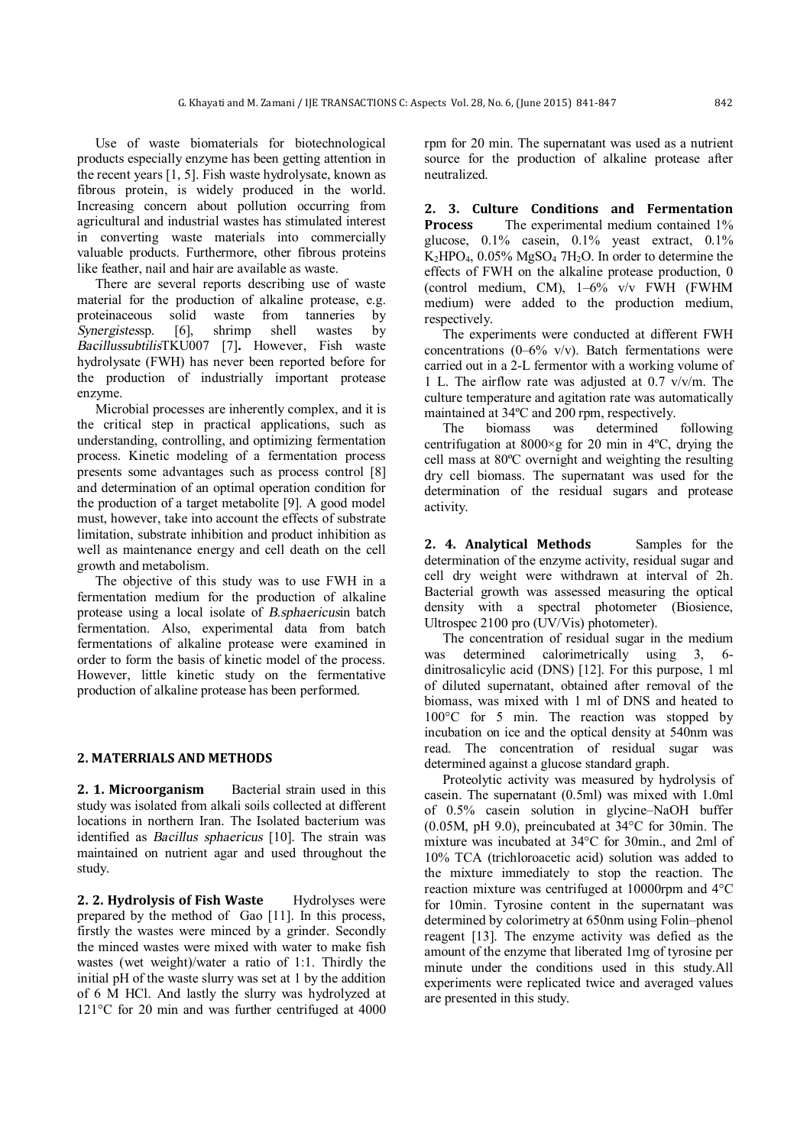Use of waste biomaterials for biotechnological products especially enzyme has been getting attention in the recent years [1, 5]. Fish waste hydrolysate, known as fibrous protein, is widely produced in the world. Increasing concern about pollution occurring from agricultural and industrial wastes has stimulated interest in converting waste materials into commercially valuable products. Furthermore, other fibrous proteins like feather, nail and hair are available as waste.

There are several reports describing use of waste material for the production of alkaline protease, e.g. proteinaceous solid waste from tanneries by *Synergistes*sp. [6], shrimp shell wastes by *Bacillussubtilis*TKU007 [7]**.** However, Fish waste hydrolysate (FWH) has never been reported before for the production of industrially important protease enzyme.

Microbial processes are inherently complex, and it is the critical step in practical applications, such as understanding, controlling, and optimizing fermentation process. Kinetic modeling of a fermentation process presents some advantages such as process control [8] and determination of an optimal operation condition for the production of a target metabolite [9]. A good model must, however, take into account the effects of substrate limitation, substrate inhibition and product inhibition as well as maintenance energy and cell death on the cell growth and metabolism.

The objective of this study was to use FWH in a fermentation medium for the production of alkaline protease using a local isolate of *B.sphaericus*in batch fermentation. Also, experimental data from batch fermentations of alkaline protease were examined in order to form the basis of kinetic model of the process. However, little kinetic study on the fermentative production of alkaline protease has been performed.

#### **2. MATERRIALS AND METHODS**

**2. 1. Microorganism** Bacterial strain used in this study was isolated from alkali soils collected at different locations in northern Iran. The Isolated bacterium was identified as *Bacillus sphaericus* [10]. The strain was maintained on nutrient agar and used throughout the study.

**2. 2. Hydrolysis of Fish Waste** Hydrolyses were prepared by the method of Gao [11]. In this process, firstly the wastes were minced by a grinder. Secondly the minced wastes were mixed with water to make fish wastes (wet weight)/water a ratio of 1:1. Thirdly the initial pH of the waste slurry was set at 1 by the addition of 6 M HCl. And lastly the slurry was hydrolyzed at 121°C for 20 min and was further centrifuged at 4000 rpm for 20 min. The supernatant was used as a nutrient source for the production of alkaline protease after neutralized.

**2. 3. Culture Conditions and Fermentation Process** The experimental medium contained 1% glucose, 0.1% casein, 0.1% yeast extract, 0.1%  $K_2HPO_4$ , 0.05% MgSO<sub>4</sub> 7H<sub>2</sub>O. In order to determine the effects of FWH on the alkaline protease production, 0 (control medium, CM), 1–6% v/v FWH (FWHM medium) were added to the production medium, respectively.

The experiments were conducted at different FWH concentrations (0–6% v/v). Batch fermentations were carried out in a 2-L fermentor with a working volume of 1 L. The airflow rate was adjusted at 0.7 v/v/m. The culture temperature and agitation rate was automatically maintained at 34ºC and 200 rpm, respectively.

The biomass was determined following centrifugation at  $8000 \times g$  for 20 min in 4°C, drying the cell mass at 80ºC overnight and weighting the resulting dry cell biomass. The supernatant was used for the determination of the residual sugars and protease activity.

**2. 4. Analytical Methods** Samples for the determination of the enzyme activity, residual sugar and cell dry weight were withdrawn at interval of 2h. Bacterial growth was assessed measuring the optical density with a spectral photometer (Biosience, Ultrospec 2100 pro (UV/Vis) photometer).

The concentration of residual sugar in the medium was determined calorimetrically using 3, 6 dinitrosalicylic acid (DNS) [12]. For this purpose, 1 ml of diluted supernatant, obtained after removal of the biomass, was mixed with 1 ml of DNS and heated to 100°C for 5 min. The reaction was stopped by incubation on ice and the optical density at 540nm was read. The concentration of residual sugar was determined against a glucose standard graph.

Proteolytic activity was measured by hydrolysis of casein. The supernatant (0.5ml) was mixed with 1.0ml of 0.5% casein solution in glycine–NaOH buffer (0.05M, pH 9.0), preincubated at 34°C for 30min. The mixture was incubated at 34°C for 30min., and 2ml of 10% TCA (trichloroacetic acid) solution was added to the mixture immediately to stop the reaction. The reaction mixture was centrifuged at 10000rpm and 4°C for 10min. Tyrosine content in the supernatant was determined by colorimetry at 650nm using Folin–phenol reagent [13]. The enzyme activity was defied as the amount of the enzyme that liberated 1mg of tyrosine per minute under the conditions used in this study.All experiments were replicated twice and averaged values are presented in this study.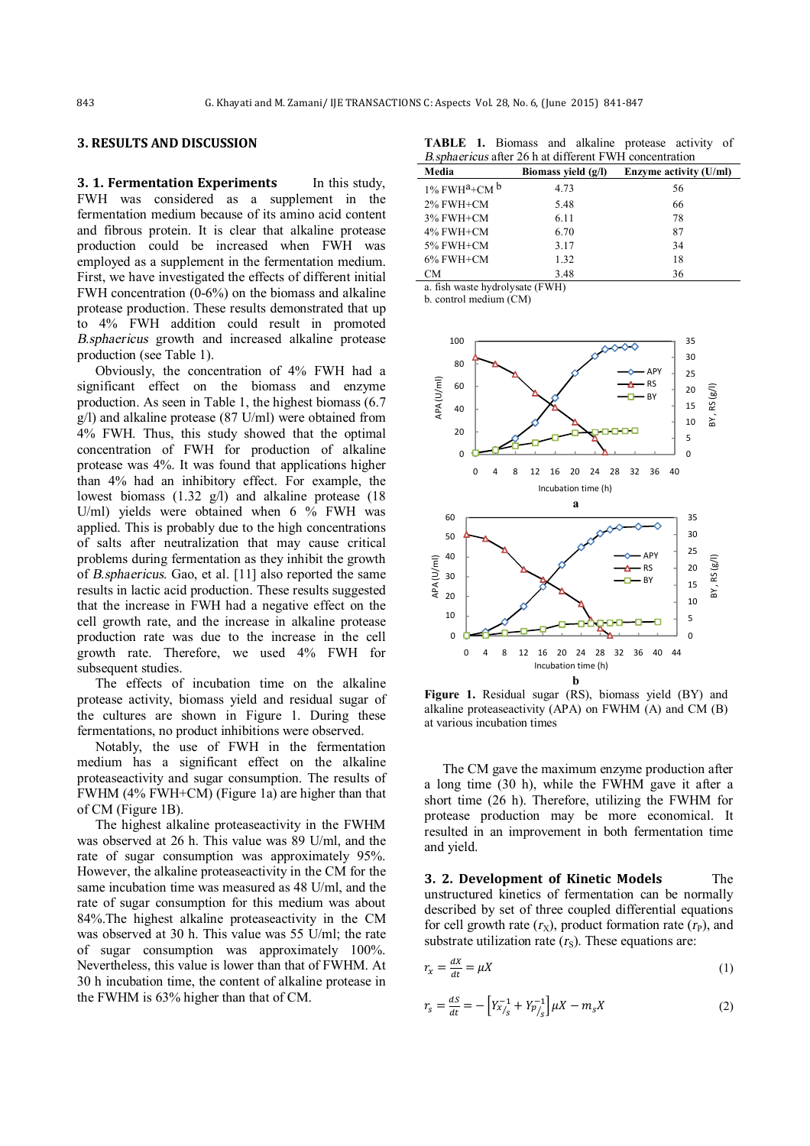#### **3. RESULTS AND DISCUSSION**

**3. 1. Fermentation Experiments** In this study, FWH was considered as a supplement in the fermentation medium because of its amino acid content and fibrous protein. It is clear that alkaline protease production could be increased when FWH was employed as a supplement in the fermentation medium. First, we have investigated the effects of different initial FWH concentration (0-6%) on the biomass and alkaline protease production. These results demonstrated that up to 4% FWH addition could result in promoted *<sup>B</sup>*.*sphaericus* growth and increased alkaline protease production (see Table 1).

Obviously, the concentration of 4% FWH had a significant effect on the biomass and enzyme production. As seen in Table 1, the highest biomass (6.7 g/l) and alkaline protease (87 U/ml) were obtained from 4% FWH. Thus, this study showed that the optimal concentration of FWH for production of alkaline protease was 4%. It was found that applications higher than 4% had an inhibitory effect. For example, the lowest biomass (1.32 g/l) and alkaline protease (18 U/ml) yields were obtained when 6 % FWH was applied. This is probably due to the high concentrations of salts after neutralization that may cause critical problems during fermentation as they inhibit the growth of *B*.*sphaericus*. Gao, et al. [11] also reported the same results in lactic acid production. These results suggested that the increase in FWH had a negative effect on the cell growth rate, and the increase in alkaline protease production rate was due to the increase in the cell growth rate. Therefore, we used 4% FWH for subsequent studies.

The effects of incubation time on the alkaline protease activity, biomass yield and residual sugar of the cultures are shown in Figure 1. During these fermentations, no product inhibitions were observed.

Notably, the use of FWH in the fermentation medium has a significant effect on the alkaline proteaseactivity and sugar consumption. The results of FWHM (4% FWH+CM) (Figure 1a) are higher than that of CM (Figure 1B).

The highest alkaline proteaseactivity in the FWHM was observed at 26 h. This value was 89 U/ml, and the rate of sugar consumption was approximately 95%. However, the alkaline proteaseactivity in the CM for the same incubation time was measured as 48 U/ml, and the rate of sugar consumption for this medium was about 84%.The highest alkaline proteaseactivity in the CM was observed at 30 h. This value was 55 U/ml; the rate of sugar consumption was approximately 100%. Nevertheless, this value is lower than that of FWHM. At 30 h incubation time, the content of alkaline protease in the FWHM is 63% higher than that of CM.

**TABLE 1.** Biomass and alkaline protease activity of *<sup>B</sup>*.*sphaericus* after 26 h at different FWH concentration

| Media<br>Biomass vield $(g/l)$<br>Enzyme activity (U/ml) |      |    |  |
|----------------------------------------------------------|------|----|--|
|                                                          |      |    |  |
| $1\%$ FWH <sup>a</sup> +CM <sup>b</sup>                  | 4.73 | 56 |  |
| 2% FWH+CM                                                | 5.48 | 66 |  |
| 3% FWH+CM                                                | 6.11 | 78 |  |
| 4% FWH+CM                                                | 6.70 | 87 |  |
| 5% FWH+CM                                                | 3.17 | 34 |  |
| $6\%$ FWH+CM                                             | 1.32 | 18 |  |
| CМ                                                       | 3.48 | 36 |  |

a. fish waste hydrolysate (FWH)

b. control medium (CM)



**Figure 1.** Residual sugar (RS), biomass yield (BY) and alkaline proteaseactivity (APA) on FWHM (A) and CM (B) at various incubation times

The CM gave the maximum enzyme production after a long time (30 h), while the FWHM gave it after a short time (26 h). Therefore, utilizing the FWHM for protease production may be more economical. It resulted in an improvement in both fermentation time and yield.

**3. 2. Development of Kinetic Models** The unstructured kinetics of fermentation can be normally described by set of three coupled differential equations for cell growth rate  $(r_X)$ , product formation rate  $(r_P)$ , and substrate utilization rate  $(r<sub>S</sub>)$ . These equations are:

$$
r_x = \frac{dx}{dt} = \mu X \tag{1}
$$

$$
r_{s} = \frac{ds}{dt} = -\left[Y_{x/s}^{-1} + Y_{y/s}^{-1}\right]\mu X - m_{s}X\tag{2}
$$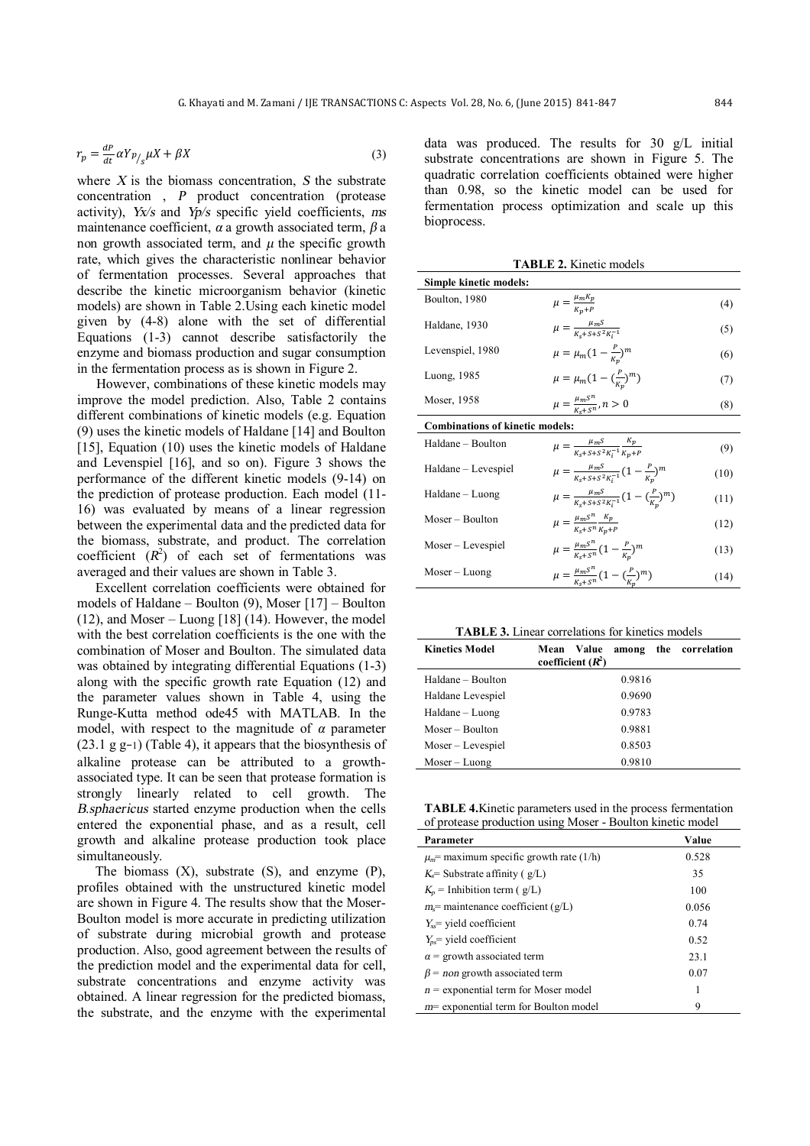$$
r_p = \frac{dP}{dt} \alpha Y p_{\text{s}} \mu X + \beta X \tag{3}
$$

where *X* is the biomass concentration, *S* the substrate concentration , *<sup>P</sup>* product concentration (protease activity), *Yx/s* and *Yp/s* specific yield coefficients, *ms* maintenance coefficient, *<sup>α</sup>* a growth associated term, *β* a non growth associated term, and  $\mu$  the specific growth rate, which gives the characteristic nonlinear behavior of fermentation processes. Several approaches that describe the kinetic microorganism behavior (kinetic models) are shown in Table 2.Using each kinetic model given by (4-8) alone with the set of differential Equations (1-3) cannot describe satisfactorily the enzyme and biomass production and sugar consumption in the fermentation process as is shown in Figure 2.

However, combinations of these kinetic models may improve the model prediction. Also, Table 2 contains different combinations of kinetic models (e.g. Equation (9) uses the kinetic models of Haldane [14] and Boulton [15], Equation (10) uses the kinetic models of Haldane and Levenspiel [16], and so on). Figure 3 shows the performance of the different kinetic models (9-14) on the prediction of protease production. Each model (11- 16) was evaluated by means of a linear regression between the experimental data and the predicted data for the biomass, substrate, and product. The correlation coefficient  $(R^2)$  of each set of fermentations was averaged and their values are shown in Table 3.

Excellent correlation coefficients were obtained for models of Haldane – Boulton (9), Moser [17] – Boulton  $(12)$ , and Moser – Luong [18]  $(14)$ . However, the model with the best correlation coefficients is the one with the combination of Moser and Boulton. The simulated data was obtained by integrating differential Equations (1-3) along with the specific growth rate Equation (12) and the parameter values shown in Table 4, using the Runge-Kutta method ode45 with MATLAB. In the model, with respect to the magnitude of  $\alpha$  parameter (23.1 g g−1) (Table 4), it appears that the biosynthesis of alkaline protease can be attributed to a growthassociated type. It can be seen that protease formation is strongly linearly related to cell growth. The *<sup>B</sup>*.*sphaericus* started enzyme production when the cells entered the exponential phase, and as a result, cell growth and alkaline protease production took place simultaneously.

The biomass (X), substrate (S), and enzyme (P), profiles obtained with the unstructured kinetic model are shown in Figure 4. The results show that the Moser-Boulton model is more accurate in predicting utilization of substrate during microbial growth and protease production. Also, good agreement between the results of the prediction model and the experimental data for cell, substrate concentrations and enzyme activity was obtained. A linear regression for the predicted biomass, the substrate, and the enzyme with the experimental data was produced. The results for 30 g/L initial substrate concentrations are shown in Figure 5. The quadratic correlation coefficients obtained were higher than 0.98, so the kinetic model can be used for fermentation process optimization and scale up this bioprocess.

| <b>TABLE 2. Kinetic models</b> |  |
|--------------------------------|--|
|--------------------------------|--|

| Simple kinetic models:                 |                                                                               |      |  |  |
|----------------------------------------|-------------------------------------------------------------------------------|------|--|--|
| Boulton, 1980                          | $\mu = \frac{\mu_m n_p}{K_n + P}$                                             | (4)  |  |  |
| Haldane, 1930                          | $\mu = \frac{\mu_m s}{K + s + s^2 K^{-1}}$                                    | (5)  |  |  |
| Levenspiel, 1980                       | $\mu = \mu_m (1 - \frac{P}{K_m})^m$                                           | (6)  |  |  |
| Luong, 1985                            | $\mu = \mu_m (1 - (\frac{P}{K_m})^m)$                                         | (7)  |  |  |
| Moser, 1958                            | $\mu = \frac{\mu_m S^n}{K + S^n}, n > 0$                                      | (8)  |  |  |
| <b>Combinations of kinetic models:</b> |                                                                               |      |  |  |
| Haldane - Boulton                      | $\mu = \frac{\mu_m S}{K_a + S + S^2 K^{-1}} \frac{K_p}{K_a + P}$              | (9)  |  |  |
| Haldane - Levespiel                    | $\mu = \frac{\mu_m s}{\kappa + s + s^2 \kappa^{-1}} (1 - \frac{P}{\kappa})^m$ | (10) |  |  |
| Haldane – Luong                        | $\mu = \frac{\mu_m S}{K + S + S^2 K^{-1}} (1 - (\frac{P}{K})^m)$              | (11) |  |  |
| Moser – Boulton                        | $\mu = \frac{\mu_m S^n}{K_c + S^n} \frac{\kappa_p}{K_n + P}$                  | (12) |  |  |
| Moser – Levespiel                      | $\mu = \frac{\mu_m S^n}{K - S^n} (1 - \frac{P}{K_n})^m$                       | (13) |  |  |
| Moser – Luong                          | $\mu = \frac{\mu_m S^n}{K + S^n} (1 - (\frac{P}{K})^m)$                       | (14) |  |  |

**TABLE 3.** Linear correlations for kinetics models

| Kinetics Model      | Mean Value<br>among the correlation<br>coefficient $(R^2)$ |
|---------------------|------------------------------------------------------------|
| Haldane – Boulton   | 0.9816                                                     |
| Haldane Levespiel   | 0.9690                                                     |
| Haldane – Luong     | 0.9783                                                     |
| Moser – Boulton     | 0.9881                                                     |
| $Moser - Levespiel$ | 0.8503                                                     |
| $Moser-Luong$       | 0.9810                                                     |

**TABLE 4.**Kinetic parameters used in the process fermentation of protease production using Moser - Boulton kinetic model

| Parameter                                  | Value |
|--------------------------------------------|-------|
| $\mu_m$ maximum specific growth rate (1/h) | 0.528 |
| $K =$ Substrate affinity ( $g/L$ )         | 35    |
| $K_p$ = Inhibition term ( g/L)             | 100   |
| $m_s$ = maintenance coefficient (g/L)      | 0.056 |
| $Y_{ss}$ vield coefficient                 | 0.74  |
| $Y_{ns}$ vield coefficient                 | 0.52  |
| $\alpha$ = growth associated term          | 23.1  |
| $\beta$ = non growth associated term       | 0.07  |
| $n =$ exponential term for Moser model     | 1     |
| $m$ exponential term for Boulton model     | 9     |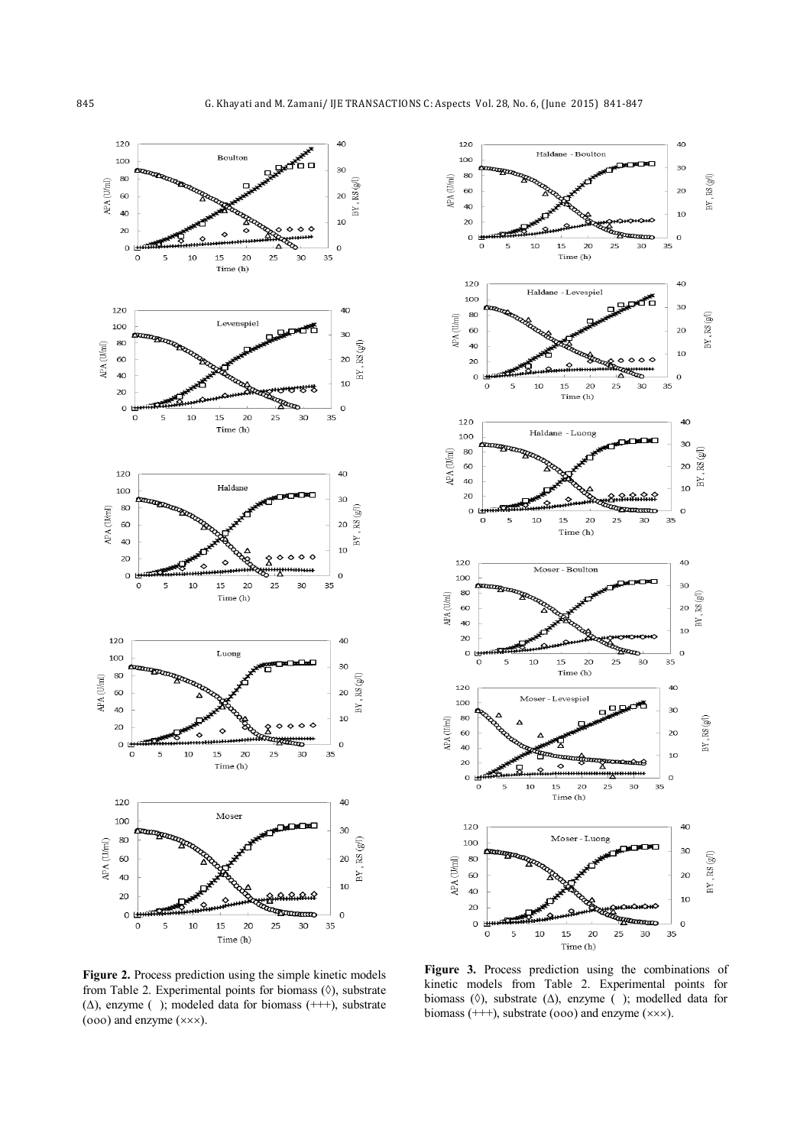



**Figure 2.** Process prediction using the simple kinetic models from Table 2. Experimental points for biomass  $(0)$ , substrate  $(\Delta)$ , enzyme ( ); modeled data for biomass (+++), substrate ( $000$ ) and enzyme ( $\times$  $\times$  $\times$ ).

**Figure 3.** Process prediction using the combinations of kinetic models from Table 2. Experimental points for biomass ( $\Diamond$ ), substrate ( $\Delta$ ), enzyme (); modelled data for biomass  $(++)$ , substrate (ooo) and enzyme  $(x \times x)$ .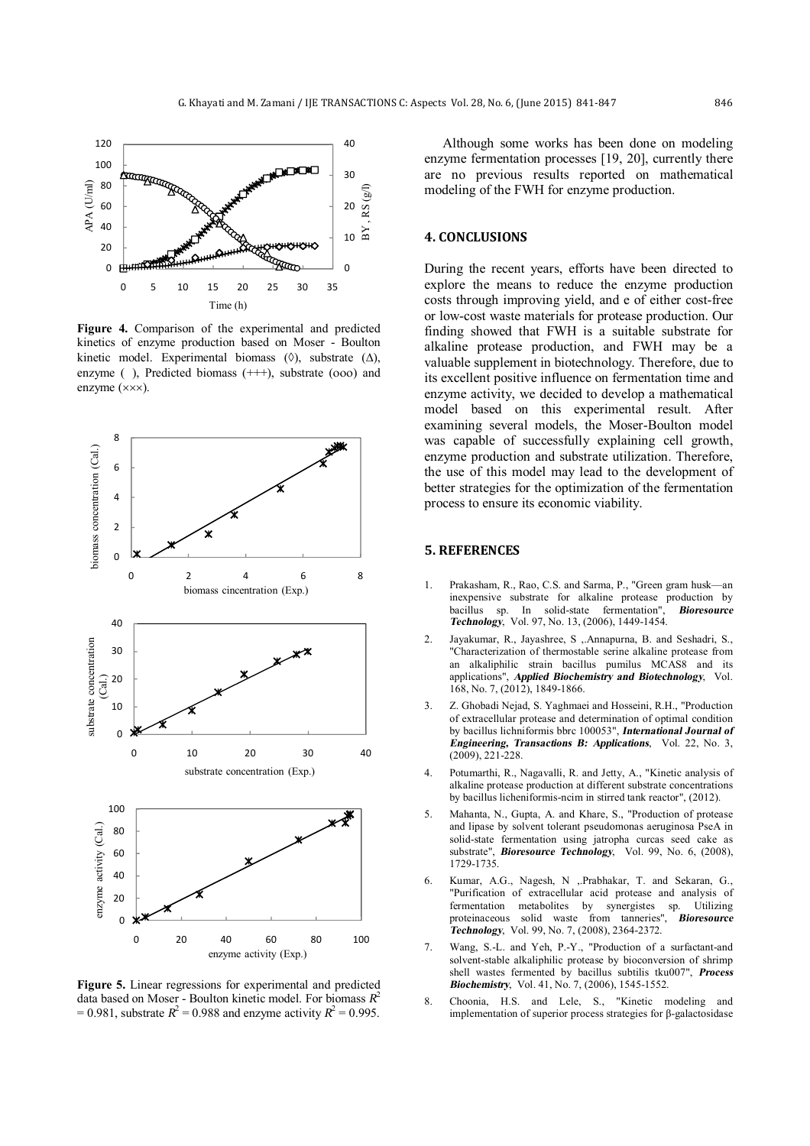

**Figure 4.** Comparison of the experimental and predicted kinetics of enzyme production based on Moser - Boulton kinetic model. Experimental biomass  $(0)$ , substrate  $(\Delta)$ , enzyme ( ), Predicted biomass (+++), substrate (ooo) and enzyme ( $\times\times$ ).



**Figure 5.** Linear regressions for experimental and predicted data based on Moser - Boulton kinetic model. For biomass *<sup>R</sup>* 2  $= 0.981$ , substrate  $R^2 = 0.988$  and enzyme activity  $R^2 = 0.995$ .

Although some works has been done on modeling enzyme fermentation processes [19, 20], currently there are no previous results reported on mathematical modeling of the FWH for enzyme production.

### **4. CONCLUSIONS**

During the recent years, efforts have been directed to explore the means to reduce the enzyme production costs through improving yield, and e of either cost-free or low-cost waste materials for protease production. Our finding showed that FWH is a suitable substrate for alkaline protease production, and FWH may be a valuable supplement in biotechnology. Therefore, due to its excellent positive influence on fermentation time and enzyme activity, we decided to develop a mathematical model based on this experimental result. After examining several models, the Moser-Boulton model was capable of successfully explaining cell growth, enzyme production and substrate utilization. Therefore, the use of this model may lead to the development of better strategies for the optimization of the fermentation process to ensure its economic viability.

#### **5. REFERENCES**

- 1. Prakasham, R., Rao, C.S. and Sarma, P., "Green gram husk—an inexpensive substrate for alkaline protease production by bacillus sp. In solid-state fermentation", *Bioresource Technology*, Vol. 97, No. 13, (2006), 1449-1454.
- 2. Jayakumar, R., Jayashree, S ,.Annapurna, B. and Seshadri, S., "Characterization of thermostable serine alkaline protease from an alkaliphilic strain bacillus pumilus MCAS8 and its applications", *Applied Biochemistry and Biotechnology*, Vol. 168, No. 7, (2012), 1849-1866.
- 3. Z. Ghobadi Nejad, S. Yaghmaei and Hosseini, R.H., "Production of extracellular protease and determination of optimal condition by bacillus lichniformis bbrc 100053", *International Journal of Engineering, Transactions B: Applications*, Vol. 22, No. 3, (2009), 221-228.
- 4. Potumarthi, R., Nagavalli, R. and Jetty, A., "Kinetic analysis of alkaline protease production at different substrate concentrations by bacillus licheniformis-ncim in stirred tank reactor", (2012).
- 5. Mahanta, N., Gupta, A. and Khare, S., "Production of protease and lipase by solvent tolerant pseudomonas aeruginosa PseA in solid-state fermentation using jatropha curcas seed cake as substrate", *Bioresource Technology*, Vol. 99, No. 6, (2008), 1729-1735.
- 6. Kumar, A.G., Nagesh, N ,.Prabhakar, T. and Sekaran, G., "Purification of extracellular acid protease and analysis of fermentation metabolites by synergistes sp. Utilizing<br>proteinaceous solid waste from tanneries" **Bioresource** proteinaceous solid waste from tanneries", *Technology*, Vol. 99, No. 7, (2008), 2364-2372.
- 7. Wang, S.-L. and Yeh, P.-Y., "Production of a surfactant-and solvent-stable alkaliphilic protease by bioconversion of shrimp shell wastes fermented by bacillus subtilis tku007", *Process Biochemistry*, Vol. 41, No. 7, (2006), 1545-1552.
- 8. Choonia, H.S. and Lele, S., "Kinetic modeling and implementation of superior process strategies for β-galactosidase